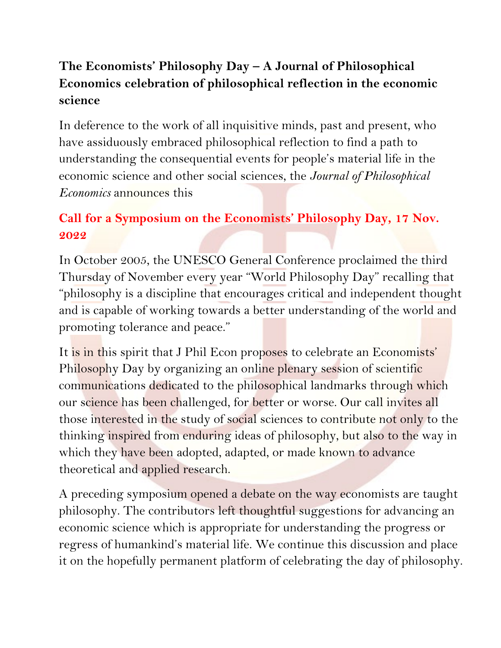## **The Economists' Philosophy Day – A Journal of Philosophical Economics celebration of philosophical reflection in the economic science**

In deference to the work of all inquisitive minds, past and present, who have assiduously embraced philosophical reflection to find a path to understanding the consequential events for people's material life in the economic science and other social sciences, the *Journal of Philosophical Economics* announces this

## **Call for a Symposium on the Economists' Philosophy Day, 17 Nov. 2022**

In October 2005, the UNESCO General Conference proclaimed the third Thursday of November every year "World Philosophy Day" recalling that "philosophy is a discipline that encourages critical and independent thought and is capable of working towards a better understanding of the world and promoting tolerance and peace."

It is in this spirit that J Phil Econ proposes to celebrate an Economists' Philosophy Day by organizing an online plenary session of scientific communications dedicated to the philosophical landmarks through which our science has been challenged, for better or worse. Our call invites all those interested in the study of social sciences to contribute not only to the thinking inspired from enduring ideas of philosophy, but also to the way in which they have been adopted, adapted, or made known to advance theoretical and applied research.

A preceding symposium opened a debate on the way economists are taught philosophy. The contributors left thoughtful suggestions for advancing an economic science which is appropriate for understanding the progress or regress of humankind's material life. We continue this discussion and place it on the hopefully permanent platform of celebrating the day of philosophy.